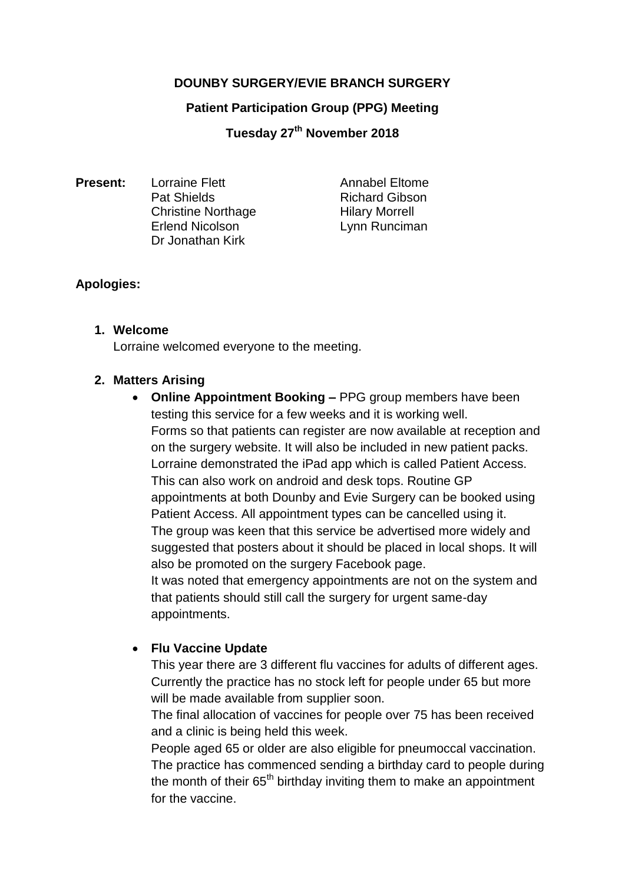# **DOUNBY SURGERY/EVIE BRANCH SURGERY**

### **Patient Participation Group (PPG) Meeting**

**Tuesday 27th November 2018**

**Present:** Lorraine Flett **Annabel Eltome** Pat Shields **Richard Gibson** Christine Northage Hilary Morrell Erlend Nicolson Lynn Runciman Dr Jonathan Kirk

# **Apologies:**

# **1. Welcome**

Lorraine welcomed everyone to the meeting.

# **2. Matters Arising**

 **Online Appointment Booking –** PPG group members have been testing this service for a few weeks and it is working well. Forms so that patients can register are now available at reception and on the surgery website. It will also be included in new patient packs. Lorraine demonstrated the iPad app which is called Patient Access. This can also work on android and desk tops. Routine GP appointments at both Dounby and Evie Surgery can be booked using Patient Access. All appointment types can be cancelled using it. The group was keen that this service be advertised more widely and suggested that posters about it should be placed in local shops. It will also be promoted on the surgery Facebook page. It was noted that emergency appointments are not on the system and that patients should still call the surgery for urgent same-day appointments.

# **Flu Vaccine Update**

This year there are 3 different flu vaccines for adults of different ages. Currently the practice has no stock left for people under 65 but more will be made available from supplier soon.

The final allocation of vaccines for people over 75 has been received and a clinic is being held this week.

People aged 65 or older are also eligible for pneumoccal vaccination. The practice has commenced sending a birthday card to people during the month of their  $65<sup>th</sup>$  birthday inviting them to make an appointment for the vaccine.